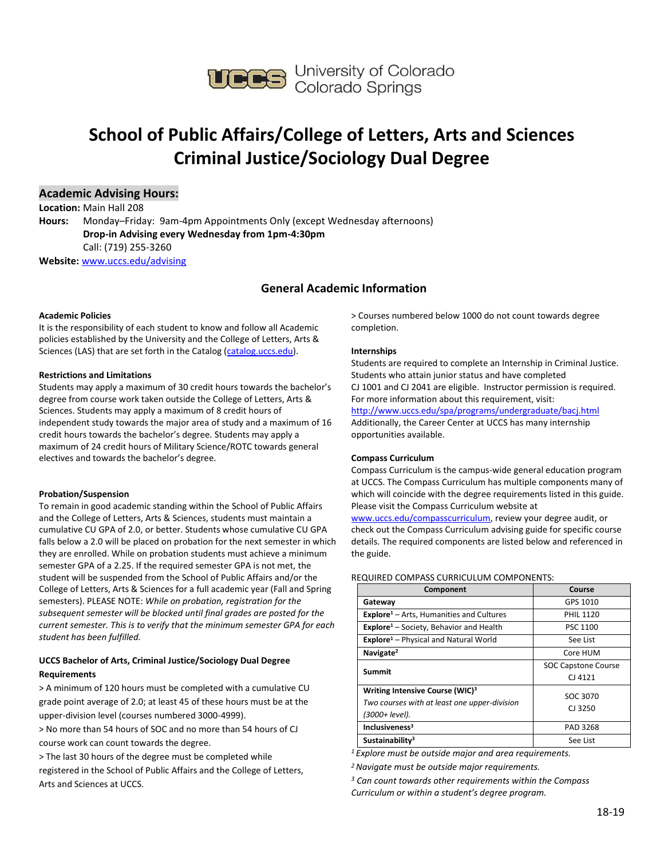

# **School of Public Affairs/College of Letters, Arts and Sciences Criminal Justice/Sociology Dual Degree**

#### **Academic Advising Hours:**

**Location:** Main Hall 208 **Hours:** Monday–Friday: 9am-4pm Appointments Only (except Wednesday afternoons) **Drop-in Advising every Wednesday from 1pm-4:30pm**  Call: (719) 255-3260

**Website:** [www.uccs.edu/advising](http://www.uccs.edu/advising)

### **General Academic Information**

#### **Academic Policies**

It is the responsibility of each student to know and follow all Academic policies established by the University and the College of Letters, Arts & Sciences (LAS) that are set forth in the Catalog [\(catalog.uccs.edu\)](http://catalog.uccs.edu/).

#### **Restrictions and Limitations**

Students may apply a maximum of 30 credit hours towards the bachelor's degree from course work taken outside the College of Letters, Arts & Sciences. Students may apply a maximum of 8 credit hours of independent study towards the major area of study and a maximum of 16 credit hours towards the bachelor's degree. Students may apply a maximum of 24 credit hours of Military Science/ROTC towards general electives and towards the bachelor's degree.

#### **Probation/Suspension**

To remain in good academic standing within the School of Public Affairs and the College of Letters, Arts & Sciences, students must maintain a cumulative CU GPA of 2.0, or better. Students whose cumulative CU GPA falls below a 2.0 will be placed on probation for the next semester in which they are enrolled. While on probation students must achieve a minimum semester GPA of a 2.25. If the required semester GPA is not met, the student will be suspended from the School of Public Affairs and/or the College of Letters, Arts & Sciences for a full academic year (Fall and Spring semesters). PLEASE NOTE: *While on probation, registration for the subsequent semester will be blocked until final grades are posted for the current semester. This is to verify that the minimum semester GPA for each student has been fulfilled.*

#### **UCCS Bachelor of Arts, Criminal Justice/Sociology Dual Degree Requirements**

> A minimum of 120 hours must be completed with a cumulative CU grade point average of 2.0; at least 45 of these hours must be at the upper-division level (courses numbered 3000-4999).

> No more than 54 hours of SOC and no more than 54 hours of CJ course work can count towards the degree.

> The last 30 hours of the degree must be completed while registered in the School of Public Affairs and the College of Letters, Arts and Sciences at UCCS.

> Courses numbered below 1000 do not count towards degree completion.

#### **Internships**

Students are required to complete an Internship in Criminal Justice. Students who attain junior status and have completed CJ 1001 and CJ 2041 are eligible. Instructor permission is required. For more information about this requirement, visit: <http://www.uccs.edu/spa/programs/undergraduate/bacj.html> Additionally, the Career Center at UCCS has many internship opportunities available.

#### **Compass Curriculum**

Compass Curriculum is the campus-wide general education program at UCCS. The Compass Curriculum has multiple components many of which will coincide with the degree requirements listed in this guide. Please visit the Compass Curriculum website at

[www.uccs.edu/compasscurriculum,](http://www.uccs.edu/compasscurriculum) review your degree audit, or check out the Compass Curriculum advising guide for specific course details. The required components are listed below and referenced in the guide.

REQUIRED COMPASS CURRICULUM COMPONENTS:

| Component                                                                                                     | Course                     |  |
|---------------------------------------------------------------------------------------------------------------|----------------------------|--|
| Gateway                                                                                                       | GPS 1010                   |  |
| <b>Explore</b> <sup>1</sup> – Arts, Humanities and Cultures                                                   | <b>PHIL 1120</b>           |  |
| Explore <sup>1</sup> - Society, Behavior and Health                                                           | PSC 1100                   |  |
| <b>Explore</b> <sup>1</sup> – Physical and Natural World                                                      | See List                   |  |
| Navigate <sup>2</sup>                                                                                         | Core HUM                   |  |
| <b>Summit</b>                                                                                                 | <b>SOC Capstone Course</b> |  |
|                                                                                                               | CJ 4121                    |  |
| Writing Intensive Course (WIC) <sup>3</sup><br>Two courses with at least one upper-division<br>(3000+ level). | SOC 3070<br>$CI$ 3250      |  |
| Inclusiveness <sup>3</sup>                                                                                    | PAD 3268                   |  |
| Sustainability <sup>3</sup>                                                                                   | See List                   |  |

*<sup>1</sup>Explore must be outside major and area requirements.*

*<sup>2</sup>Navigate must be outside major requirements.*

*<sup>3</sup> Can count towards other requirements within the Compass Curriculum or within a student's degree program.*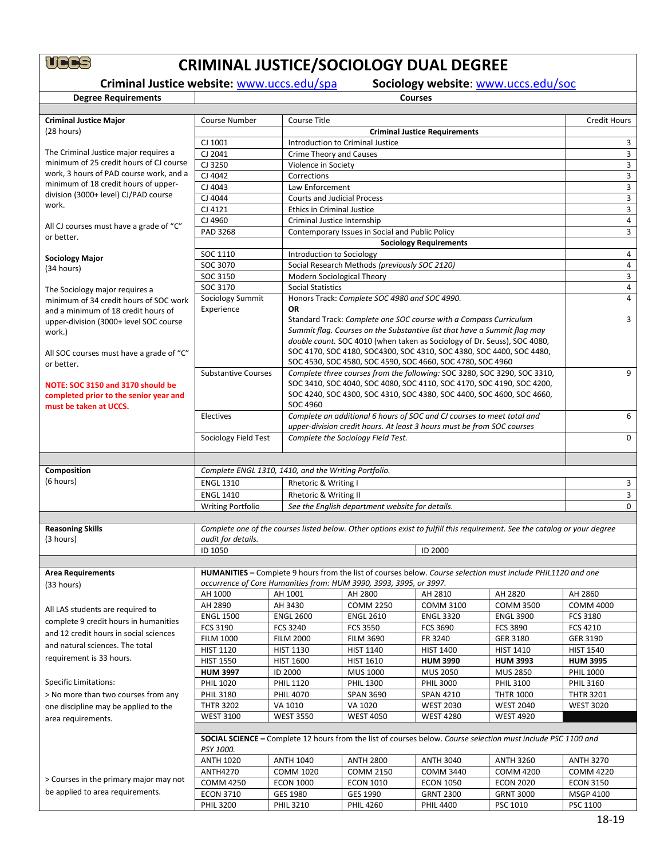# **CRIMINAL JUSTICE/SOCIOLOGY DUAL DEGREE**<br>Criminal Justice website: <u>www.uccs.edu/spa</u> Sociology website: <u>www.uccs.edu/soc</u><br>Degree Requirements

**Criminal Justice website:** [www.uccs.edu/spa](http://www.uccs.edu/spa)

| <b>Degree Requirements</b>                       | <b>Courses</b>                                                                                                             |                                                                    |                                                 |                                                                                                                           |                                      |                               |  |  |
|--------------------------------------------------|----------------------------------------------------------------------------------------------------------------------------|--------------------------------------------------------------------|-------------------------------------------------|---------------------------------------------------------------------------------------------------------------------------|--------------------------------------|-------------------------------|--|--|
|                                                  |                                                                                                                            |                                                                    |                                                 |                                                                                                                           |                                      |                               |  |  |
| <b>Criminal Justice Major</b>                    | <b>Course Number</b>                                                                                                       | Course Title                                                       | <b>Credit Hours</b>                             |                                                                                                                           |                                      |                               |  |  |
| (28 hours)                                       |                                                                                                                            |                                                                    | <b>Criminal Justice Requirements</b>            |                                                                                                                           |                                      |                               |  |  |
|                                                  | CJ 1001                                                                                                                    | Introduction to Criminal Justice                                   |                                                 |                                                                                                                           |                                      |                               |  |  |
| The Criminal Justice major requires a            | CJ 2041                                                                                                                    |                                                                    | <b>Crime Theory and Causes</b>                  |                                                                                                                           |                                      |                               |  |  |
| minimum of 25 credit hours of CJ course          | CJ 3250                                                                                                                    |                                                                    | Violence in Society                             |                                                                                                                           |                                      |                               |  |  |
| work, 3 hours of PAD course work, and a          | CJ 4042                                                                                                                    | Corrections                                                        |                                                 |                                                                                                                           |                                      | 3                             |  |  |
| minimum of 18 credit hours of upper-             | CJ 4043                                                                                                                    | Law Enforcement                                                    |                                                 |                                                                                                                           |                                      | 3                             |  |  |
| division (3000+ level) CJ/PAD course<br>work.    | CJ 4044                                                                                                                    | <b>Courts and Judicial Process</b>                                 |                                                 |                                                                                                                           |                                      | 3                             |  |  |
|                                                  | CJ 4121                                                                                                                    | <b>Ethics in Criminal Justice</b>                                  |                                                 |                                                                                                                           |                                      | 3                             |  |  |
| All CJ courses must have a grade of "C"          | CJ 4960                                                                                                                    | Criminal Justice Internship                                        |                                                 |                                                                                                                           |                                      | $\overline{4}$                |  |  |
| or better.                                       | PAD 3268                                                                                                                   |                                                                    | Contemporary Issues in Social and Public Policy |                                                                                                                           |                                      | 3                             |  |  |
|                                                  |                                                                                                                            |                                                                    |                                                 | <b>Sociology Requirements</b>                                                                                             |                                      |                               |  |  |
| <b>Sociology Major</b>                           | SOC 1110                                                                                                                   | Introduction to Sociology                                          |                                                 |                                                                                                                           |                                      | 4                             |  |  |
| (34 hours)                                       | SOC 3070                                                                                                                   |                                                                    | Social Research Methods (previously SOC 2120)   |                                                                                                                           |                                      | 4                             |  |  |
|                                                  | SOC 3150                                                                                                                   | Modern Sociological Theory                                         |                                                 |                                                                                                                           |                                      | 3                             |  |  |
| The Sociology major requires a                   | SOC 3170                                                                                                                   | <b>Social Statistics</b>                                           |                                                 |                                                                                                                           |                                      | 4                             |  |  |
| minimum of 34 credit hours of SOC work           | Sociology Summit<br>Experience                                                                                             | <b>OR</b>                                                          | Honors Track: Complete SOC 4980 and SOC 4990.   |                                                                                                                           |                                      | 4                             |  |  |
| and a minimum of 18 credit hours of              |                                                                                                                            |                                                                    |                                                 | Standard Track: Complete one SOC course with a Compass Curriculum                                                         |                                      | 3                             |  |  |
| upper-division (3000+ level SOC course<br>work.) |                                                                                                                            |                                                                    |                                                 | Summit flag. Courses on the Substantive list that have a Summit flag may                                                  |                                      |                               |  |  |
|                                                  |                                                                                                                            |                                                                    |                                                 | double count. SOC 4010 (when taken as Sociology of Dr. Seuss), SOC 4080,                                                  |                                      |                               |  |  |
| All SOC courses must have a grade of "C"         |                                                                                                                            |                                                                    |                                                 | SOC 4170, SOC 4180, SOC4300, SOC 4310, SOC 4380, SOC 4400, SOC 4480,                                                      |                                      |                               |  |  |
| or better.                                       |                                                                                                                            |                                                                    |                                                 | SOC 4530, SOC 4580, SOC 4590, SOC 4660, SOC 4780, SOC 4960                                                                |                                      |                               |  |  |
|                                                  | <b>Substantive Courses</b>                                                                                                 |                                                                    |                                                 | Complete three courses from the following: SOC 3280, SOC 3290, SOC 3310,                                                  |                                      | 9                             |  |  |
| NOTE: SOC 3150 and 3170 should be                |                                                                                                                            |                                                                    |                                                 | SOC 3410, SOC 4040, SOC 4080, SOC 4110, SOC 4170, SOC 4190, SOC 4200,                                                     |                                      |                               |  |  |
| completed prior to the senior year and           |                                                                                                                            |                                                                    |                                                 | SOC 4240, SOC 4300, SOC 4310, SOC 4380, SOC 4400, SOC 4600, SOC 4660,                                                     |                                      |                               |  |  |
| must be taken at UCCS.                           |                                                                                                                            | SOC 4960                                                           |                                                 |                                                                                                                           |                                      |                               |  |  |
|                                                  | Electives                                                                                                                  |                                                                    |                                                 | Complete an additional 6 hours of SOC and CJ courses to meet total and                                                    |                                      | 6                             |  |  |
|                                                  |                                                                                                                            |                                                                    |                                                 | upper-division credit hours. At least 3 hours must be from SOC courses                                                    |                                      | $\mathbf 0$                   |  |  |
|                                                  | Sociology Field Test                                                                                                       |                                                                    | Complete the Sociology Field Test.              |                                                                                                                           |                                      |                               |  |  |
|                                                  |                                                                                                                            |                                                                    |                                                 |                                                                                                                           |                                      |                               |  |  |
| Composition                                      |                                                                                                                            | Complete ENGL 1310, 1410, and the Writing Portfolio.               |                                                 |                                                                                                                           |                                      |                               |  |  |
| (6 hours)                                        | <b>ENGL 1310</b>                                                                                                           | Rhetoric & Writing I                                               |                                                 |                                                                                                                           |                                      | 3                             |  |  |
|                                                  | <b>ENGL 1410</b>                                                                                                           |                                                                    | Rhetoric & Writing II                           |                                                                                                                           |                                      |                               |  |  |
|                                                  | <b>Writing Portfolio</b>                                                                                                   |                                                                    | See the English department website for details. |                                                                                                                           |                                      | 3<br>$\mathbf 0$              |  |  |
|                                                  |                                                                                                                            |                                                                    |                                                 |                                                                                                                           |                                      |                               |  |  |
| <b>Reasoning Skills</b>                          |                                                                                                                            |                                                                    |                                                 | Complete one of the courses listed below. Other options exist to fulfill this requirement. See the catalog or your degree |                                      |                               |  |  |
| (3 hours)                                        | audit for details.                                                                                                         |                                                                    |                                                 |                                                                                                                           |                                      |                               |  |  |
|                                                  | ID 1050                                                                                                                    | ID 2000                                                            |                                                 |                                                                                                                           |                                      |                               |  |  |
|                                                  |                                                                                                                            |                                                                    |                                                 |                                                                                                                           |                                      |                               |  |  |
| <b>Area Requirements</b>                         |                                                                                                                            |                                                                    |                                                 | HUMANITIES – Complete 9 hours from the list of courses below. Course selection must include PHIL1120 and one              |                                      |                               |  |  |
| (33 hours)                                       |                                                                                                                            | occurrence of Core Humanities from: HUM 3990, 3993, 3995, or 3997. |                                                 |                                                                                                                           |                                      |                               |  |  |
|                                                  | AH 1000                                                                                                                    | AH 1001                                                            | AH 2800                                         | AH 2810                                                                                                                   | AH 2820                              | AH 2860                       |  |  |
| All LAS students are required to                 | AH 2890                                                                                                                    | AH 3430                                                            | <b>COMM 2250</b>                                | <b>COMM 3100</b>                                                                                                          | <b>COMM 3500</b>                     | <b>COMM 4000</b>              |  |  |
| complete 9 credit hours in humanities            | <b>ENGL 1500</b>                                                                                                           | <b>ENGL 2600</b>                                                   | <b>ENGL 2610</b>                                | <b>ENGL 3320</b>                                                                                                          | <b>ENGL 3900</b>                     | FCS 3180                      |  |  |
| and 12 credit hours in social sciences           | FCS 3190                                                                                                                   | <b>FCS 3240</b>                                                    | <b>FCS 3550</b>                                 | FCS 3690                                                                                                                  | <b>FCS 3890</b>                      | FCS 4210                      |  |  |
| and natural sciences. The total                  | <b>FILM 1000</b>                                                                                                           | <b>FILM 2000</b>                                                   | <b>FILM 3690</b>                                | FR 3240                                                                                                                   | GER 3180                             | GER 3190                      |  |  |
| requirement is 33 hours.                         | <b>HIST 1120</b>                                                                                                           | <b>HIST 1130</b>                                                   | <b>HIST 1140</b>                                | <b>HIST 1400</b>                                                                                                          | <b>HIST 1410</b>                     | <b>HIST 1540</b>              |  |  |
|                                                  | <b>HIST 1550</b>                                                                                                           | <b>HIST 1600</b>                                                   | <b>HIST 1610</b>                                | <b>HUM 3990</b>                                                                                                           | <b>HUM 3993</b>                      | <b>HUM 3995</b>               |  |  |
|                                                  | <b>HUM 3997</b>                                                                                                            | ID 2000                                                            | <b>MUS 1000</b>                                 | <b>MUS 2050</b>                                                                                                           | <b>MUS 2850</b>                      | <b>PHIL 1000</b>              |  |  |
| <b>Specific Limitations:</b>                     | <b>PHIL 1020</b>                                                                                                           | <b>PHIL 1120</b>                                                   | <b>PHIL 1300</b>                                | <b>PHIL 3000</b>                                                                                                          | <b>PHIL 3100</b>                     | <b>PHIL 3160</b>              |  |  |
| > No more than two courses from any              | <b>PHIL 3180</b>                                                                                                           | <b>PHIL 4070</b>                                                   | <b>SPAN 3690</b>                                | <b>SPAN 4210</b>                                                                                                          | <b>THTR 1000</b>                     | <b>THTR 3201</b>              |  |  |
| one discipline may be applied to the             | <b>THTR 3202</b><br><b>WEST 3100</b>                                                                                       | VA 1010<br><b>WEST 3550</b>                                        | VA 1020<br><b>WEST 4050</b>                     | <b>WEST 2030</b><br><b>WEST 4280</b>                                                                                      | <b>WEST 2040</b><br><b>WEST 4920</b> | <b>WEST 3020</b>              |  |  |
| area requirements.                               |                                                                                                                            |                                                                    |                                                 |                                                                                                                           |                                      |                               |  |  |
|                                                  |                                                                                                                            |                                                                    |                                                 |                                                                                                                           |                                      |                               |  |  |
|                                                  | SOCIAL SCIENCE - Complete 12 hours from the list of courses below. Course selection must include PSC 1100 and<br>PSY 1000. |                                                                    |                                                 |                                                                                                                           |                                      |                               |  |  |
|                                                  | <b>ANTH 1020</b>                                                                                                           | <b>ANTH 1040</b>                                                   | <b>ANTH 2800</b>                                | <b>ANTH 3040</b>                                                                                                          | <b>ANTH 3260</b>                     | <b>ANTH 3270</b>              |  |  |
|                                                  | <b>ANTH4270</b>                                                                                                            | <b>COMM 1020</b>                                                   | <b>COMM 2150</b>                                | <b>COMM 3440</b>                                                                                                          | COMM 4200                            | <b>COMM 4220</b>              |  |  |
|                                                  |                                                                                                                            |                                                                    |                                                 |                                                                                                                           |                                      |                               |  |  |
| > Courses in the primary major may not           |                                                                                                                            |                                                                    |                                                 |                                                                                                                           |                                      |                               |  |  |
| be applied to area requirements.                 | <b>COMM 4250</b><br><b>ECON 3710</b>                                                                                       | <b>ECON 1000</b><br>GES 1980                                       | <b>ECON 1010</b><br>GES 1990                    | <b>ECON 1050</b><br><b>GRNT 2300</b>                                                                                      | <b>ECON 2020</b><br><b>GRNT 3000</b> | <b>ECON 3150</b><br>MSGP 4100 |  |  |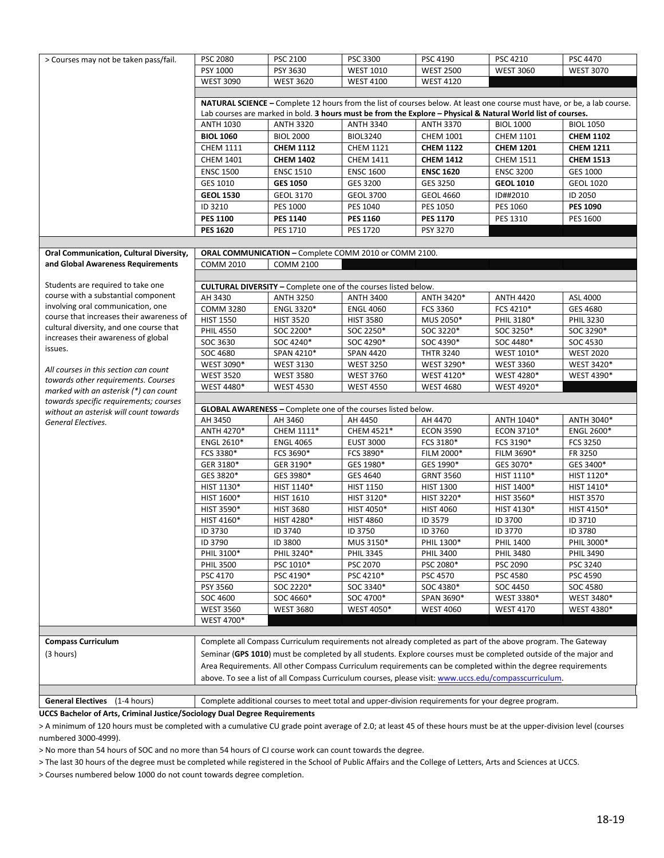| > Courses may not be taken pass/fail.                                        | <b>PSC 2080</b>                                                                                       | PSC 2100         | PSC 3300                                                              | PSC 4190         | PSC 4210                                                                                                                | PSC 4470          |
|------------------------------------------------------------------------------|-------------------------------------------------------------------------------------------------------|------------------|-----------------------------------------------------------------------|------------------|-------------------------------------------------------------------------------------------------------------------------|-------------------|
|                                                                              | PSY 1000                                                                                              | PSY 3630         | <b>WEST 1010</b>                                                      | <b>WEST 2500</b> | <b>WEST 3060</b>                                                                                                        | <b>WEST 3070</b>  |
|                                                                              | <b>WEST 3090</b>                                                                                      | <b>WEST 3620</b> | <b>WEST 4100</b>                                                      | <b>WEST 4120</b> |                                                                                                                         |                   |
|                                                                              |                                                                                                       |                  |                                                                       |                  |                                                                                                                         |                   |
|                                                                              |                                                                                                       |                  |                                                                       |                  | NATURAL SCIENCE - Complete 12 hours from the list of courses below. At least one course must have, or be, a lab course. |                   |
|                                                                              |                                                                                                       |                  |                                                                       |                  | Lab courses are marked in bold. 3 hours must be from the Explore - Physical & Natural World list of courses.            |                   |
|                                                                              | <b>ANTH 1030</b>                                                                                      | <b>ANTH 3320</b> | <b>ANTH 3340</b>                                                      | <b>ANTH 3370</b> | <b>BIOL 1000</b>                                                                                                        | <b>BIOL 1050</b>  |
|                                                                              | <b>BIOL 1060</b>                                                                                      | <b>BIOL 2000</b> | <b>BIOL3240</b>                                                       | <b>CHEM 1001</b> | <b>CHEM 1101</b>                                                                                                        | <b>CHEM 1102</b>  |
|                                                                              | <b>CHEM 1111</b>                                                                                      | <b>CHEM 1112</b> | <b>CHEM 1121</b>                                                      | <b>CHEM 1122</b> | <b>CHEM 1201</b>                                                                                                        | <b>CHEM 1211</b>  |
|                                                                              | <b>CHEM 1401</b>                                                                                      | <b>CHEM 1402</b> | <b>CHEM 1411</b>                                                      | <b>CHEM 1412</b> | <b>CHEM 1511</b>                                                                                                        | <b>CHEM 1513</b>  |
|                                                                              | <b>ENSC 1500</b>                                                                                      | <b>ENSC 1510</b> | <b>ENSC 1600</b>                                                      | <b>ENSC 1620</b> | <b>ENSC 3200</b>                                                                                                        | GES 1000          |
|                                                                              | GES 1010                                                                                              | <b>GES 1050</b>  | GES 3200                                                              | GES 3250         | <b>GEOL 1010</b>                                                                                                        | <b>GEOL 1020</b>  |
|                                                                              | <b>GEOL 1530</b>                                                                                      | <b>GEOL 3170</b> | <b>GEOL 3700</b>                                                      | <b>GEOL 4660</b> | ID##2010                                                                                                                | ID 2050           |
|                                                                              | ID 3210                                                                                               | PES 1000         | PES 1040                                                              | PES 1050         | PES 1060                                                                                                                | <b>PES 1090</b>   |
|                                                                              | <b>PES 1100</b>                                                                                       | <b>PES 1140</b>  | <b>PES 1160</b>                                                       | <b>PES 1170</b>  | PES 1310                                                                                                                | PES 1600          |
|                                                                              | <b>PES 1620</b>                                                                                       | PES 1710         | <b>PES 1720</b>                                                       | PSY 3270         |                                                                                                                         |                   |
|                                                                              |                                                                                                       |                  |                                                                       |                  |                                                                                                                         |                   |
| Oral Communication, Cultural Diversity,                                      |                                                                                                       |                  | ORAL COMMUNICATION - Complete COMM 2010 or COMM 2100.                 |                  |                                                                                                                         |                   |
| and Global Awareness Requirements                                            | <b>COMM 2010</b>                                                                                      | <b>COMM 2100</b> |                                                                       |                  |                                                                                                                         |                   |
|                                                                              |                                                                                                       |                  |                                                                       |                  |                                                                                                                         |                   |
| Students are required to take one                                            |                                                                                                       |                  | <b>CULTURAL DIVERSITY - Complete one of the courses listed below.</b> |                  |                                                                                                                         |                   |
| course with a substantial component                                          | AH 3430                                                                                               | <b>ANTH 3250</b> | <b>ANTH 3400</b>                                                      | ANTH 3420*       | <b>ANTH 4420</b>                                                                                                        | ASL 4000          |
| involving oral communication, one                                            | <b>COMM 3280</b>                                                                                      | ENGL 3320*       | <b>ENGL 4060</b>                                                      | FCS 3360         | FCS 4210*                                                                                                               | GES 4680          |
| course that increases their awareness of                                     | <b>HIST 1550</b>                                                                                      | <b>HIST 3520</b> | <b>HIST 3580</b>                                                      | MUS 2050*        | PHIL 3180*                                                                                                              | PHIL 3230         |
| cultural diversity, and one course that                                      | <b>PHIL 4550</b>                                                                                      | SOC 2200*        | SOC 2250*                                                             | SOC 3220*        | SOC 3250*                                                                                                               | SOC 3290*         |
| increases their awareness of global                                          | SOC 3630                                                                                              | SOC 4240*        | SOC 4290*                                                             | SOC 4390*        | SOC 4480*                                                                                                               | SOC 4530          |
| issues.                                                                      | SOC 4680                                                                                              | SPAN 4210*       | <b>SPAN 4420</b>                                                      | <b>THTR 3240</b> | WEST 1010*                                                                                                              | <b>WEST 2020</b>  |
|                                                                              | WEST 3090*                                                                                            | <b>WEST 3130</b> | <b>WEST 3250</b>                                                      | WEST 3290*       | <b>WEST 3360</b>                                                                                                        | WEST 3420*        |
| All courses in this section can count                                        | <b>WEST 3520</b>                                                                                      | <b>WEST 3580</b> | <b>WEST 3760</b>                                                      | WEST 4120*       | WEST 4280*                                                                                                              | WEST 4390*        |
| towards other requirements. Courses<br>marked with an asterisk (*) can count | WEST 4480*                                                                                            | <b>WEST 4530</b> | <b>WEST 4550</b>                                                      | <b>WEST 4680</b> | WEST 4920*                                                                                                              |                   |
| towards specific requirements; courses                                       |                                                                                                       |                  |                                                                       |                  |                                                                                                                         |                   |
| without an asterisk will count towards                                       | <b>GLOBAL AWARENESS</b> - Complete one of the courses listed below.                                   |                  |                                                                       |                  |                                                                                                                         |                   |
| General Electives.                                                           | AH 3450                                                                                               | AH 3460          | AH 4450                                                               | AH 4470          | ANTH 1040*                                                                                                              | ANTH 3040*        |
|                                                                              | ANTH 4270*                                                                                            | CHEM 1111*       | CHEM 4521*                                                            | <b>ECON 3590</b> | ECON 3710*                                                                                                              | <b>ENGL 2600*</b> |
|                                                                              | ENGL 2610*                                                                                            | <b>ENGL 4065</b> | <b>EUST 3000</b>                                                      | FCS 3180*        | FCS 3190*                                                                                                               | FCS 3250          |
|                                                                              | FCS 3380*                                                                                             | FCS 3690*        | FCS 3890*                                                             | FILM 2000*       | FILM 3690*                                                                                                              | FR 3250           |
|                                                                              | GER 3180*                                                                                             | GER 3190*        | GES 1980*                                                             | GES 1990*        | GES 3070*                                                                                                               | GES 3400*         |
|                                                                              | GES 3820*                                                                                             | GES 3980*        | GES 4640                                                              | <b>GRNT 3560</b> | HIST 1110*                                                                                                              | HIST 1120*        |
|                                                                              | HIST 1130*                                                                                            | HIST 1140*       | <b>HIST 1150</b>                                                      | <b>HIST 1300</b> | HIST 1400*                                                                                                              | HIST 1410*        |
|                                                                              | HIST 1600*                                                                                            | <b>HIST 1610</b> | HIST 3120*                                                            | HIST 3220*       | HIST 3560*                                                                                                              | <b>HIST 3570</b>  |
|                                                                              | HIST 3590*                                                                                            | <b>HIST 3680</b> | HIST 4050*                                                            | <b>HIST 4060</b> | HIST 4130*                                                                                                              | HIST 4150*        |
|                                                                              | HIST 4160*                                                                                            | HIST 4280*       | <b>HIST 4860</b>                                                      | ID 3579          | ID 3700                                                                                                                 | ID 3710           |
|                                                                              | ID 3730                                                                                               | ID 3740          | ID 3750                                                               | ID 3760          | ID 3770                                                                                                                 | ID 3780           |
|                                                                              | ID 3790                                                                                               | ID 3800          | MUS 3150*                                                             | PHIL 1300*       | <b>PHIL 1400</b>                                                                                                        | PHIL 3000*        |
|                                                                              | PHIL 3100*                                                                                            | PHIL 3240*       | <b>PHIL 3345</b>                                                      | <b>PHIL 3400</b> | <b>PHIL 3480</b>                                                                                                        | <b>PHIL 3490</b>  |
|                                                                              | <b>PHIL 3500</b>                                                                                      | PSC 1010*        | PSC 2070                                                              | PSC 2080*        | PSC 2090                                                                                                                | PSC 3240          |
|                                                                              | PSC 4170                                                                                              | PSC 4190*        | PSC 4210*                                                             | PSC 4570         | PSC 4580                                                                                                                | PSC 4590          |
|                                                                              | PSY 3560                                                                                              | SOC 2220*        | SOC 3340*                                                             | SOC 4380*        | SOC 4450                                                                                                                | SOC 4580          |
|                                                                              | SOC 4600                                                                                              | SOC 4660*        | SOC 4700*                                                             | SPAN 3690*       | WEST 3380*                                                                                                              | WEST 3480*        |
|                                                                              | <b>WEST 3560</b>                                                                                      | <b>WEST 3680</b> | WEST 4050*                                                            | <b>WEST 4060</b> | <b>WEST 4170</b>                                                                                                        | WEST 4380*        |
|                                                                              | WEST 4700*                                                                                            |                  |                                                                       |                  |                                                                                                                         |                   |
|                                                                              |                                                                                                       |                  |                                                                       |                  |                                                                                                                         |                   |
| <b>Compass Curriculum</b>                                                    |                                                                                                       |                  |                                                                       |                  | Complete all Compass Curriculum requirements not already completed as part of the above program. The Gateway            |                   |
| (3 hours)                                                                    |                                                                                                       |                  |                                                                       |                  | Seminar (GPS 1010) must be completed by all students. Explore courses must be completed outside of the major and        |                   |
|                                                                              |                                                                                                       |                  |                                                                       |                  | Area Requirements. All other Compass Curriculum requirements can be completed within the degree requirements            |                   |
|                                                                              | above. To see a list of all Compass Curriculum courses, please visit: www.uccs.edu/compasscurriculum. |                  |                                                                       |                  |                                                                                                                         |                   |
|                                                                              |                                                                                                       |                  |                                                                       |                  |                                                                                                                         |                   |
| General Electives (1-4 hours)                                                |                                                                                                       |                  |                                                                       |                  | Complete additional courses to meet total and upper-division requirements for your degree program.                      |                   |
| UCCS Bachelor of Arts, Criminal Justice/Sociology Dual Degree Requirements   |                                                                                                       |                  |                                                                       |                  |                                                                                                                         |                   |

**UCCS Bachelor of Arts, Criminal Justice/Sociology Dual Degree Requirements**

> A minimum of 120 hours must be completed with a cumulative CU grade point average of 2.0; at least 45 of these hours must be at the upper-division level (courses numbered 3000-4999).

> No more than 54 hours of SOC and no more than 54 hours of CJ course work can count towards the degree.

> The last 30 hours of the degree must be completed while registered in the School of Public Affairs and the College of Letters, Arts and Sciences at UCCS.

> Courses numbered below 1000 do not count towards degree completion.